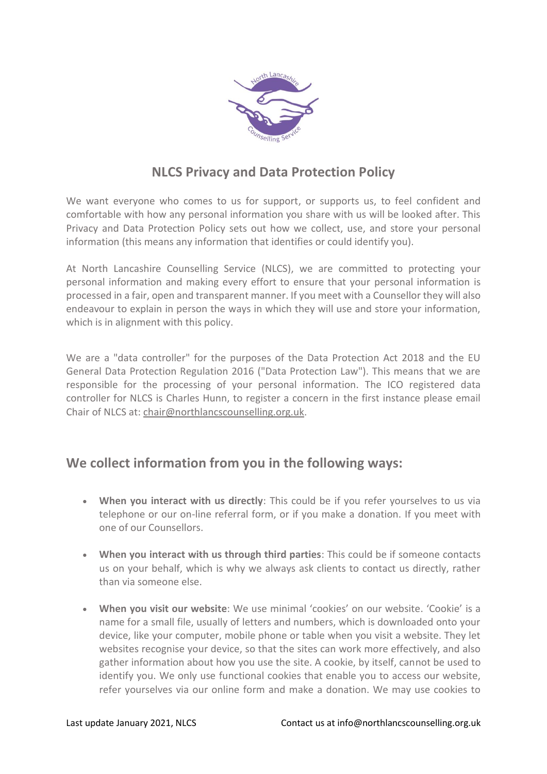

# **NLCS Privacy and Data Protection Policy**

We want everyone who comes to us for support, or supports us, to feel confident and comfortable with how any personal information you share with us will be looked after. This Privacy and Data Protection Policy sets out how we collect, use, and store your personal information (this means any information that identifies or could identify you).

At North Lancashire Counselling Service (NLCS), we are committed to protecting your personal information and making every effort to ensure that your personal information is processed in a fair, open and transparent manner. If you meet with a Counsellor they will also endeavour to explain in person the ways in which they will use and store your information, which is in alignment with this policy.

We are a "data controller" for the purposes of the Data Protection Act 2018 and the EU General Data Protection Regulation 2016 ("Data Protection Law"). This means that we are responsible for the processing of your personal information. The ICO registered data controller for NLCS is Charles Hunn, to register a concern in the first instance please email Chair of NLCS at: [chair@northlancscounselling.org.uk.](mailto:chair@northlancscounselling.org.uk)

## **We collect information from you in the following ways:**

- **When you interact with us directly**: This could be if you refer yourselves to us via telephone or our on-line referral form, or if you make a donation. If you meet with one of our Counsellors.
- **When you interact with us through third parties**: This could be if someone contacts us on your behalf, which is why we always ask clients to contact us directly, rather than via someone else.
- **When you visit our website**: We use minimal 'cookies' on our website. 'Cookie' is a name for a small file, usually of letters and numbers, which is downloaded onto your device, like your computer, mobile phone or table when you visit a website. They let websites recognise your device, so that the sites can work more effectively, and also gather information about how you use the site. A cookie, by itself, cannot be used to identify you. We only use functional cookies that enable you to access our website, refer yourselves via our online form and make a donation. We may use cookies to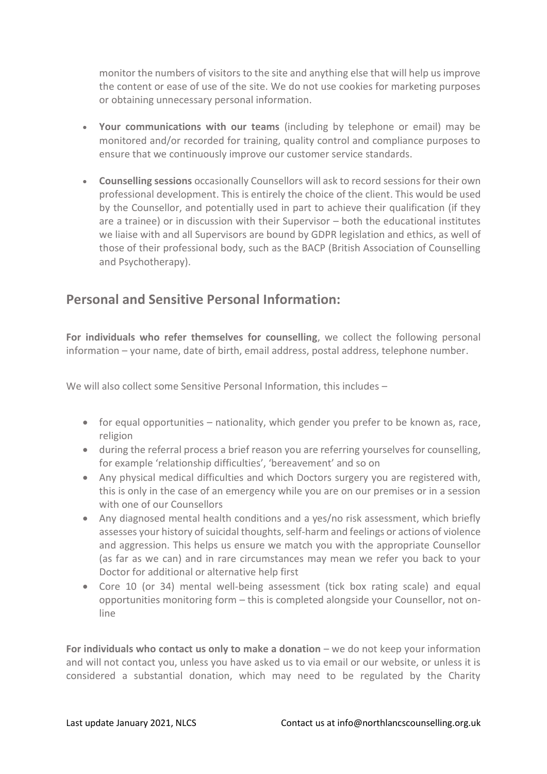monitor the numbers of visitors to the site and anything else that will help us improve the content or ease of use of the site. We do not use cookies for marketing purposes or obtaining unnecessary personal information.

- **Your communications with our teams** (including by telephone or email) may be monitored and/or recorded for training, quality control and compliance purposes to ensure that we continuously improve our customer service standards.
- **Counselling sessions** occasionally Counsellors will ask to record sessions for their own professional development. This is entirely the choice of the client. This would be used by the Counsellor, and potentially used in part to achieve their qualification (if they are a trainee) or in discussion with their Supervisor – both the educational institutes we liaise with and all Supervisors are bound by GDPR legislation and ethics, as well of those of their professional body, such as the BACP (British Association of Counselling and Psychotherapy).

# **Personal and Sensitive Personal Information:**

**For individuals who refer themselves for counselling**, we collect the following personal information – your name, date of birth, email address, postal address, telephone number.

We will also collect some Sensitive Personal Information, this includes –

- for equal opportunities nationality, which gender you prefer to be known as, race, religion
- during the referral process a brief reason you are referring yourselves for counselling, for example 'relationship difficulties', 'bereavement' and so on
- Any physical medical difficulties and which Doctors surgery you are registered with, this is only in the case of an emergency while you are on our premises or in a session with one of our Counsellors
- Any diagnosed mental health conditions and a yes/no risk assessment, which briefly assesses your history of suicidal thoughts, self-harm and feelings or actions of violence and aggression. This helps us ensure we match you with the appropriate Counsellor (as far as we can) and in rare circumstances may mean we refer you back to your Doctor for additional or alternative help first
- Core 10 (or 34) mental well-being assessment (tick box rating scale) and equal opportunities monitoring form – this is completed alongside your Counsellor, not online

**For individuals who contact us only to make a donation** – we do not keep your information and will not contact you, unless you have asked us to via email or our website, or unless it is considered a substantial donation, which may need to be regulated by the Charity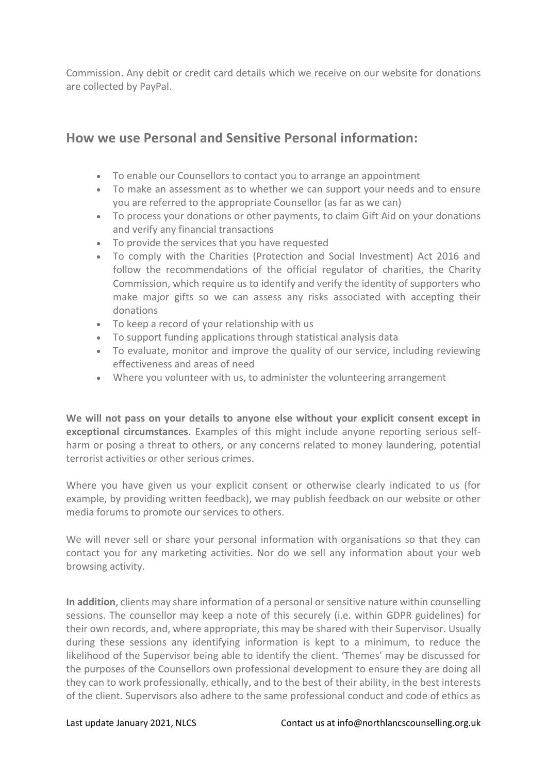Commission. Any debit or credit card details which we receive on our website for donations are collected by PayPal.

#### **How we use Personal and Sensitive Personal information:**

- To enable our Counsellors to contact you to arrange an appointment
- To make an assessment as to whether we can support your needs and to ensure you are referred to the appropriate Counsellor (as far as we can)
- To process your donations or other payments, to claim Gift Aid on your donations and verify any financial transactions
- To provide the services that you have requested
- To comply with the Charities (Protection and Social Investment) Act 2016 and follow the recommendations of the official regulator of charities, the Charity Commission, which require us to identify and verify the identity of supporters who make major gifts so we can assess any risks associated with accepting their donations
- To keep a record of your relationship with us
- To support funding applications through statistical analysis data
- To evaluate, monitor and improve the quality of our service, including reviewing effectiveness and areas of need
- Where you volunteer with us, to administer the volunteering arrangement

**We will not pass on your details to anyone else without your explicit consent except in exceptional circumstances**. Examples of this might include anyone reporting serious selfharm or posing a threat to others, or any concerns related to money laundering, potential terrorist activities or other serious crimes.

Where you have given us your explicit consent or otherwise clearly indicated to us (for example, by providing written feedback), we may publish feedback on our website or other media forums to promote our services to others.

We will never sell or share your personal information with organisations so that they can contact you for any marketing activities. Nor do we sell any information about your web browsing activity.

**In addition**, clients may share information of a personal or sensitive nature within counselling sessions. The counsellor may keep a note of this securely (i.e. within GDPR guidelines) for their own records, and, where appropriate, this may be shared with their Supervisor. Usually during these sessions any identifying information is kept to a minimum, to reduce the likelihood of the Supervisor being able to identify the client. 'Themes' may be discussed for the purposes of the Counsellors own professional development to ensure they are doing all they can to work professionally, ethically, and to the best of their ability, in the best interests of the client. Supervisors also adhere to the same professional conduct and code of ethics as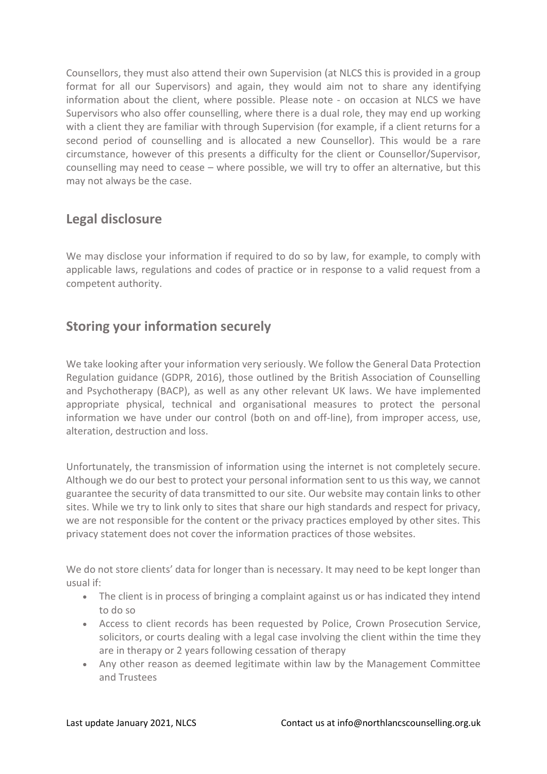Counsellors, they must also attend their own Supervision (at NLCS this is provided in a group format for all our Supervisors) and again, they would aim not to share any identifying information about the client, where possible. Please note - on occasion at NLCS we have Supervisors who also offer counselling, where there is a dual role, they may end up working with a client they are familiar with through Supervision (for example, if a client returns for a second period of counselling and is allocated a new Counsellor). This would be a rare circumstance, however of this presents a difficulty for the client or Counsellor/Supervisor, counselling may need to cease – where possible, we will try to offer an alternative, but this may not always be the case.

#### **Legal disclosure**

We may disclose your information if required to do so by law, for example, to comply with applicable laws, regulations and codes of practice or in response to a valid request from a competent authority.

## **Storing your information securely**

We take looking after your information very seriously. We follow the General Data Protection Regulation guidance (GDPR, 2016), those outlined by the British Association of Counselling and Psychotherapy (BACP), as well as any other relevant UK laws. We have implemented appropriate physical, technical and organisational measures to protect the personal information we have under our control (both on and off-line), from improper access, use, alteration, destruction and loss.

Unfortunately, the transmission of information using the internet is not completely secure. Although we do our best to protect your personal information sent to us this way, we cannot guarantee the security of data transmitted to our site. Our website may contain links to other sites. While we try to link only to sites that share our high standards and respect for privacy, we are not responsible for the content or the privacy practices employed by other sites. This privacy statement does not cover the information practices of those websites.

We do not store clients' data for longer than is necessary. It may need to be kept longer than usual if:

- The client is in process of bringing a complaint against us or has indicated they intend to do so
- Access to client records has been requested by Police, Crown Prosecution Service, solicitors, or courts dealing with a legal case involving the client within the time they are in therapy or 2 years following cessation of therapy
- Any other reason as deemed legitimate within law by the Management Committee and Trustees